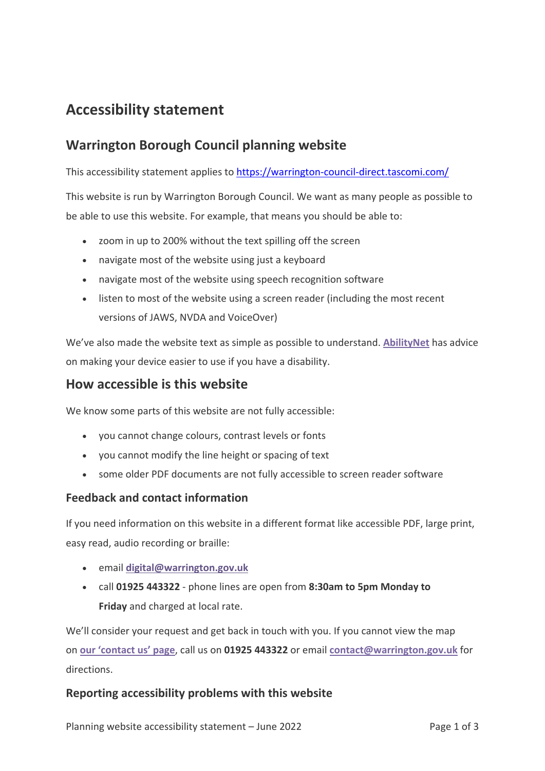# **Accessibility statement**

# **Warrington Borough Council planning website**

This accessibility statement applies to<https://warrington-council-direct.tascomi.com/>

This website is run by Warrington Borough Council. We want as many people as possible to be able to use this website. For example, that means you should be able to:

- zoom in up to 200% without the text spilling off the screen
- navigate most of the website using just a keyboard
- navigate most of the website using speech recognition software
- listen to most of the website using a screen reader (including the most recent versions of JAWS, NVDA and VoiceOver)

We've also made the website text as simple as possible to understand. **[AbilityNet](https://mcmw.abilitynet.org.uk/)** has advice on making your device easier to use if you have a disability.

### **How accessible is this website**

We know some parts of this website are not fully accessible:

- you cannot change colours, contrast levels or fonts
- you cannot modify the line height or spacing of text
- some older PDF documents are not fully accessible to screen reader software

#### **Feedback and contact information**

If you need information on this website in a different format like accessible PDF, large print, easy read, audio recording or braille:

- email **[digital@warrington.gov.uk](mailto:digital@warrington.gov.uk)**
- call **01925 443322** phone lines are open from **8:30am to 5pm Monday to Friday** and charged at local rate.

We'll consider your request and get back in touch with you. If you cannot view the map on **[our 'contact us' page](https://www.warrington.gov.uk/contactus)**, call us on **01925 443322** or email **[contact@warrington.gov.uk](mailto:contact@warrington.gov.uk)** for directions.

### **Reporting accessibility problems with this website**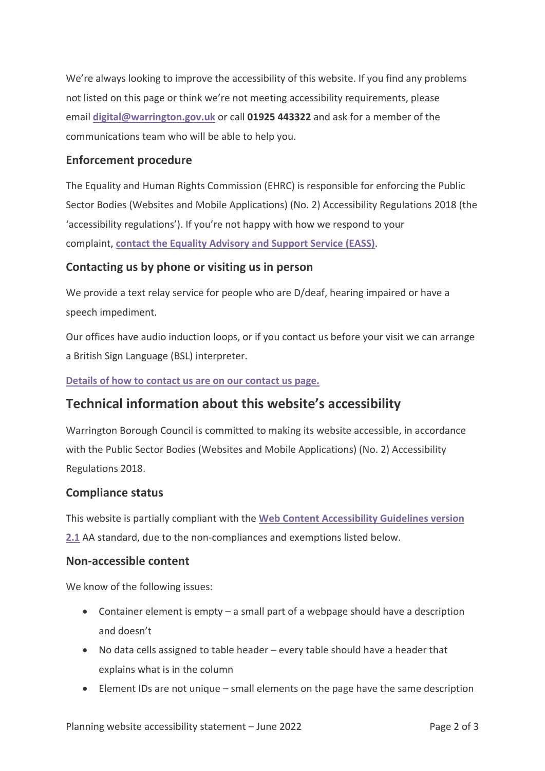We're always looking to improve the accessibility of this website. If you find any problems not listed on this page or think we're not meeting accessibility requirements, please email **[digital@warrington.gov.uk](mailto:digital@warrington.gov.uk)** or call **01925 443322** and ask for a member of the communications team who will be able to help you.

#### **Enforcement procedure**

The Equality and Human Rights Commission (EHRC) is responsible for enforcing the Public Sector Bodies (Websites and Mobile Applications) (No. 2) Accessibility Regulations 2018 (the 'accessibility regulations'). If you're not happy with how we respond to your complaint, **[contact the Equality Advisory and Support Service \(EASS\)](https://www.equalityadvisoryservice.com/)**.

### **Contacting us by phone or visiting us in person**

We provide a text relay service for people who are D/deaf, hearing impaired or have a speech impediment.

Our offices have audio induction loops, or if you contact us before your visit we can arrange a British Sign Language (BSL) interpreter.

#### **[Details of how to contact us are on our contact us page.](https://www.warrington.gov.uk/contactus)**

### **Technical information about this website's accessibility**

Warrington Borough Council is committed to making its website accessible, in accordance with the Public Sector Bodies (Websites and Mobile Applications) (No. 2) Accessibility Regulations 2018.

#### **Compliance status**

This website is partially compliant with the **[Web Content Accessibility Guidelines version](https://www.w3.org/TR/WCAG21/)  [2.1](https://www.w3.org/TR/WCAG21/)** AA standard, due to the non-compliances and exemptions listed below.

#### **Non-accessible content**

We know of the following issues:

- Container element is empty a small part of a webpage should have a description and doesn't
- No data cells assigned to table header every table should have a header that explains what is in the column
- Element IDs are not unique small elements on the page have the same description